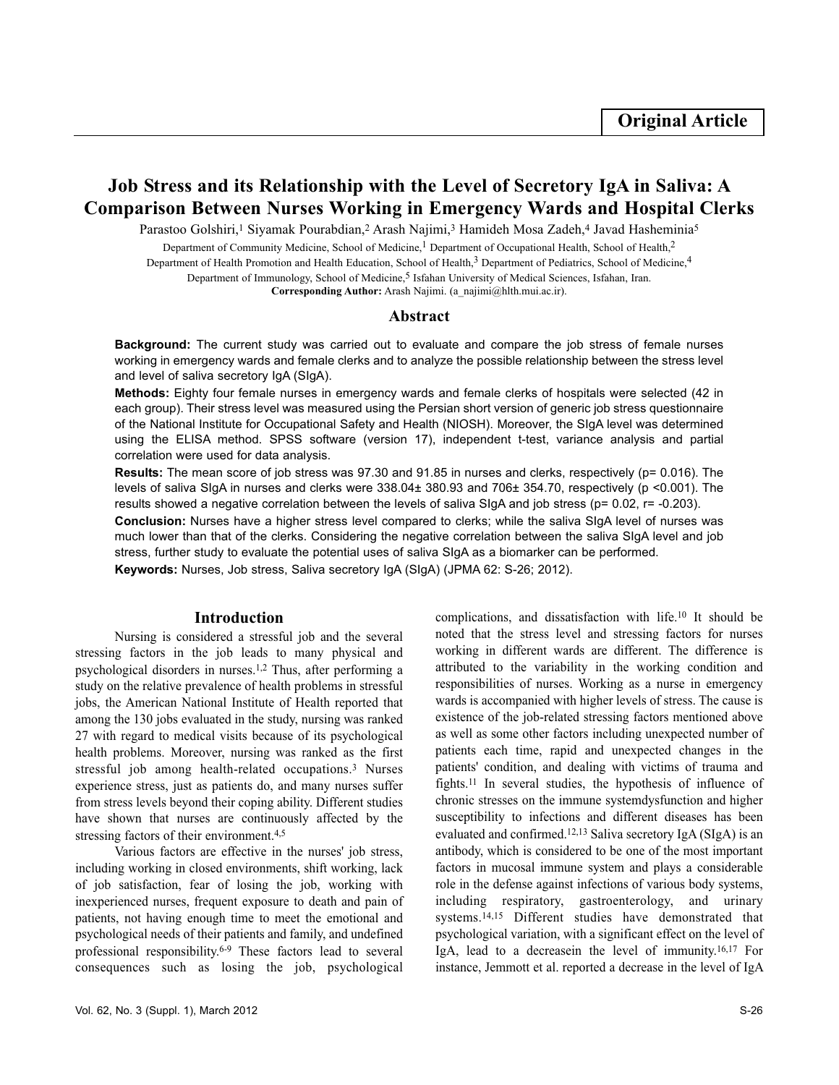# **Job Stress and its Relationship with the Level of Secretory IgA in Saliva: A Comparison Between Nurses Working in Emergency Wards and Hospital Clerks**

Parastoo Golshiri,<sup>1</sup> Siyamak Pourabdian,<sup>2</sup> Arash Najimi,<sup>3</sup> Hamideh Mosa Zadeh,<sup>4</sup> Javad Hasheminia<sup>5</sup>

Department of Community Medicine, School of Medicine,<sup>1</sup> Department of Occupational Health, School of Health,<sup>2</sup>

Department of Health Promotion and Health Education, School of Health,<sup>3</sup> Department of Pediatrics, School of Medicine,<sup>4</sup>

Department of Immunology, School of Medicine,<sup>5</sup> Isfahan University of Medical Sciences, Isfahan, Iran.

**Corresponding Author:** Arash Najimi. (a\_najimi@hlth.mui.ac.ir).

# **Abstract**

**Background:** The current study was carried out to evaluate and compare the job stress of female nurses working in emergency wards and female clerks and to analyze the possible relationship between the stress level and level of saliva secretory IgA (SIgA).

**Methods:** Eighty four female nurses in emergency wards and female clerks of hospitals were selected (42 in each group). Their stress level was measured using the Persian short version of generic job stress questionnaire of the National Institute for Occupational Safety and Health (NIOSH). Moreover, the SIgA level was determined using the ELISA method. SPSS software (version 17), independent t-test, variance analysis and partial correlation were used for data analysis.

**Results:** The mean score of job stress was 97.30 and 91.85 in nurses and clerks, respectively (p= 0.016). The levels of saliva SIgA in nurses and clerks were 338.04± 380.93 and 706± 354.70, respectively (p <0.001). The results showed a negative correlation between the levels of saliva SIgA and job stress ( $p= 0.02$ ,  $r= -0.203$ ).

**Conclusion:** Nurses have a higher stress level compared to clerks; while the saliva SIgA level of nurses was much lower than that of the clerks. Considering the negative correlation between the saliva SIgA level and job stress, further study to evaluate the potential uses of saliva SIgA as a biomarker can be performed.

**Keywords:** Nurses, Job stress, Saliva secretory IgA (SIgA) (JPMA 62: S-26; 2012).

### **Introduction**

Nursing is considered a stressful job and the several stressing factors in the job leads to many physical and psychological disorders in nurses.1,2 Thus, after performing a study on the relative prevalence of health problems in stressful jobs, the American National Institute of Health reported that among the 130 jobs evaluated in the study, nursing was ranked 27 with regard to medical visits because of its psychological health problems. Moreover, nursing was ranked as the first stressful job among health-related occupations.<sup>3</sup> Nurses experience stress, just as patients do, and many nurses suffer from stress levels beyond their coping ability. Different studies have shown that nurses are continuously affected by the stressing factors of their environment.<sup>4,5</sup>

Various factors are effective in the nurses' job stress, including working in closed environments, shift working, lack of job satisfaction, fear of losing the job, working with inexperienced nurses, frequent exposure to death and pain of patients, not having enough time to meet the emotional and psychological needs of their patients and family, and undefined professional responsibility.6-9 These factors lead to several consequences such as losing the job, psychological

Vol. 62, No. 3 (Suppl. 1), March 2012 S-26

complications, and dissatisfaction with life.<sup>10</sup> It should be noted that the stress level and stressing factors for nurses working in different wards are different. The difference is attributed to the variability in the working condition and responsibilities of nurses. Working as a nurse in emergency wards is accompanied with higher levels of stress. The cause is existence of the job-related stressing factors mentioned above as well as some other factors including unexpected number of patients each time, rapid and unexpected changes in the patients' condition, and dealing with victims of trauma and fights.<sup>11</sup> In several studies, the hypothesis of influence of chronic stresses on the immune systemdysfunction and higher susceptibility to infections and different diseases has been evaluated and confirmed.12,13 Saliva secretory IgA (SIgA) is an antibody, which is considered to be one of the most important factors in mucosal immune system and plays a considerable role in the defense against infections of various body systems, including respiratory, gastroenterology, and urinary systems.14,15 Different studies have demonstrated that psychological variation, with a significant effect on the level of IgA, lead to a decreasein the level of immunity.16,17 For instance, Jemmott et al. reported a decrease in the level of IgA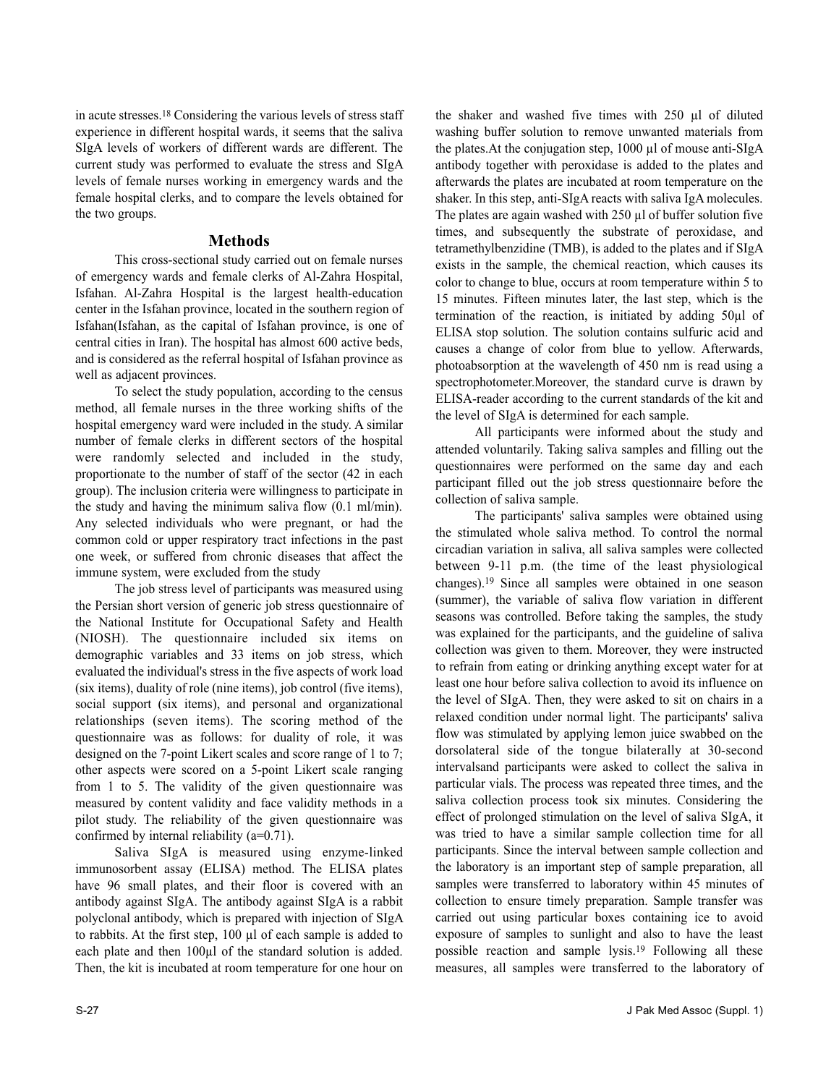in acute stresses.<sup>18</sup> Considering the various levels of stress staff experience in different hospital wards, it seems that the saliva SIgA levels of workers of different wards are different. The current study was performed to evaluate the stress and SIgA levels of female nurses working in emergency wards and the female hospital clerks, and to compare the levels obtained for the two groups.

# **Methods**

This cross-sectional study carried out on female nurses of emergency wards and female clerks of Al-Zahra Hospital, Isfahan. Al-Zahra Hospital is the largest health-education center in the Isfahan province, located in the southern region of Isfahan(Isfahan, as the capital of Isfahan province, is one of central cities in Iran). The hospital has almost 600 active beds, and is considered as the referral hospital of Isfahan province as well as adjacent provinces.

To select the study population, according to the census method, all female nurses in the three working shifts of the hospital emergency ward were included in the study. A similar number of female clerks in different sectors of the hospital were randomly selected and included in the study, proportionate to the number of staff of the sector (42 in each group). The inclusion criteria were willingness to participate in the study and having the minimum saliva flow (0.1 ml/min). Any selected individuals who were pregnant, or had the common cold or upper respiratory tract infections in the past one week, or suffered from chronic diseases that affect the immune system, were excluded from the study

The job stress level of participants was measured using the Persian short version of generic job stress questionnaire of the National Institute for Occupational Safety and Health (NIOSH). The questionnaire included six items on demographic variables and 33 items on job stress, which evaluated the individual's stress in the five aspects of work load (six items), duality of role (nine items), job control (five items), social support (six items), and personal and organizational relationships (seven items). The scoring method of the questionnaire was as follows: for duality of role, it was designed on the 7-point Likert scales and score range of 1 to 7; other aspects were scored on a 5-point Likert scale ranging from 1 to 5. The validity of the given questionnaire was measured by content validity and face validity methods in a pilot study. The reliability of the given questionnaire was confirmed by internal reliability (a=0.71).

Saliva SIgA is measured using enzyme-linked immunosorbent assay (ELISA) method. The ELISA plates have 96 small plates, and their floor is covered with an antibody against SIgA. The antibody against SIgA is a rabbit polyclonal antibody, which is prepared with injection of SIgA to rabbits. At the first step, 100 µl of each sample is added to each plate and then 100µl of the standard solution is added. Then, the kit is incubated at room temperature for one hour on

the shaker and washed five times with 250 µl of diluted washing buffer solution to remove unwanted materials from the plates.At the conjugation step, 1000 µl of mouse anti-SIgA antibody together with peroxidase is added to the plates and afterwards the plates are incubated at room temperature on the shaker. In this step, anti-SIgA reacts with saliva IgA molecules. The plates are again washed with  $250 \mu l$  of buffer solution five times, and subsequently the substrate of peroxidase, and tetramethylbenzidine (TMB), is added to the plates and if SIgA exists in the sample, the chemical reaction, which causes its color to change to blue, occurs at room temperature within 5 to 15 minutes. Fifteen minutes later, the last step, which is the termination of the reaction, is initiated by adding 50µl of ELISA stop solution. The solution contains sulfuric acid and causes a change of color from blue to yellow. Afterwards, photoabsorption at the wavelength of 450 nm is read using a spectrophotometer.Moreover, the standard curve is drawn by ELISA-reader according to the current standards of the kit and the level of SIgA is determined for each sample.

All participants were informed about the study and attended voluntarily. Taking saliva samples and filling out the questionnaires were performed on the same day and each participant filled out the job stress questionnaire before the collection of saliva sample.

The participants' saliva samples were obtained using the stimulated whole saliva method. To control the normal circadian variation in saliva, all saliva samples were collected between 9-11 p.m. (the time of the least physiological changes).<sup>19</sup> Since all samples were obtained in one season (summer), the variable of saliva flow variation in different seasons was controlled. Before taking the samples, the study was explained for the participants, and the guideline of saliva collection was given to them. Moreover, they were instructed to refrain from eating or drinking anything except water for at least one hour before saliva collection to avoid its influence on the level of SIgA. Then, they were asked to sit on chairs in a relaxed condition under normal light. The participants' saliva flow was stimulated by applying lemon juice swabbed on the dorsolateral side of the tongue bilaterally at 30-second intervalsand participants were asked to collect the saliva in particular vials. The process was repeated three times, and the saliva collection process took six minutes. Considering the effect of prolonged stimulation on the level of saliva SIgA, it was tried to have a similar sample collection time for all participants. Since the interval between sample collection and the laboratory is an important step of sample preparation, all samples were transferred to laboratory within 45 minutes of collection to ensure timely preparation. Sample transfer was carried out using particular boxes containing ice to avoid exposure of samples to sunlight and also to have the least possible reaction and sample lysis.<sup>19</sup> Following all these measures, all samples were transferred to the laboratory of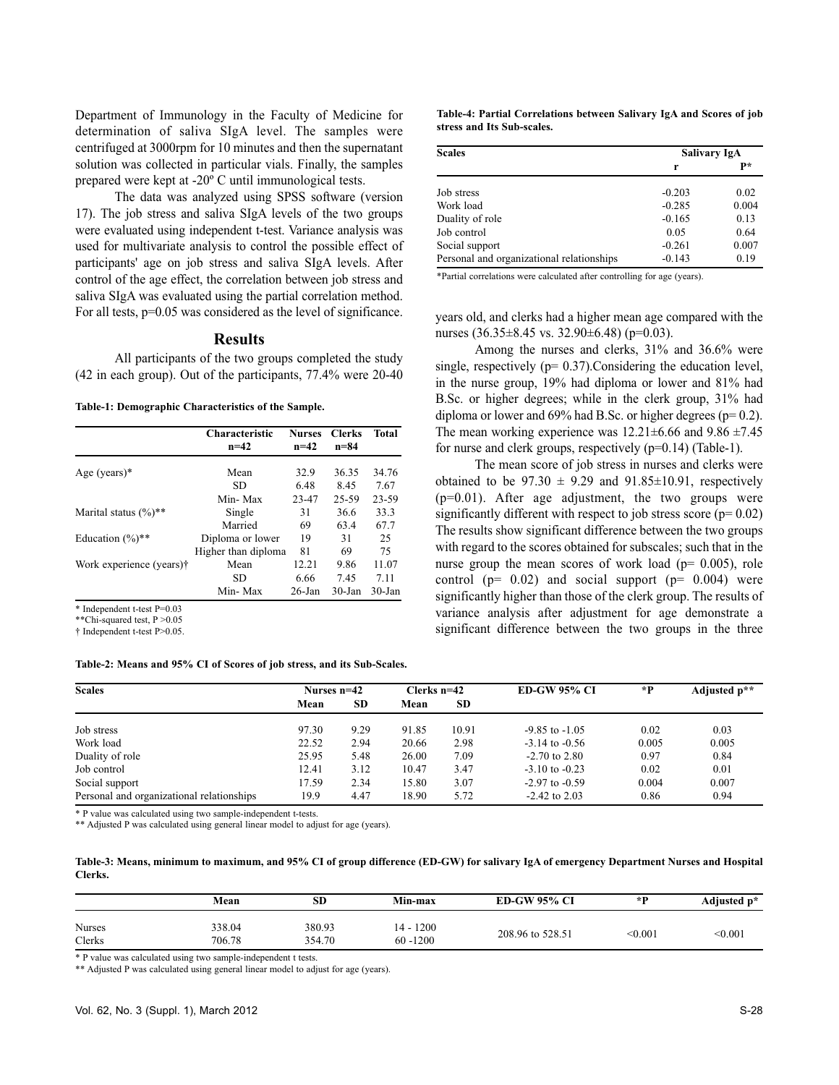Department of Immunology in the Faculty of Medicine for determination of saliva SIgA level. The samples were centrifuged at 3000rpm for 10 minutes and then the supernatant solution was collected in particular vials. Finally, the samples prepared were kept at -20º C until immunological tests.

The data was analyzed using SPSS software (version 17). The job stress and saliva SIgA levels of the two groups were evaluated using independent t-test. Variance analysis was used for multivariate analysis to control the possible effect of participants' age on job stress and saliva SIgA levels. After control of the age effect, the correlation between job stress and saliva SIgA was evaluated using the partial correlation method. For all tests,  $p=0.05$  was considered as the level of significance.

### **Results**

All participants of the two groups completed the study (42 in each group). Out of the participants, 77.4% were 20-40

**Table-1: Demographic Characteristics of the Sample.**

|                          | Characteristic<br>$n = 42$ | <b>Nurses</b><br>$n=42$ | <b>Clerks</b><br>$n = 84$ | <b>Total</b> |
|--------------------------|----------------------------|-------------------------|---------------------------|--------------|
| Age (years) $*$          | Mean                       | 32.9                    | 36.35                     | 34.76        |
|                          | SD.                        | 6.48                    | 8.45                      | 7.67         |
|                          | Min-Max                    | 23-47                   | 25-59                     | 23-59        |
| Marital status $(\%)$ ** | Single                     | 31                      | 36.6                      | 33.3         |
|                          | Married                    | 69                      | 63.4                      | 67.7         |
| Education $(\%)$ **      | Diploma or lower           | 19                      | 31                        | 25           |
|                          | Higher than diploma        | 81                      | 69                        | 75           |
| Work experience (years)† | Mean                       | 12.21                   | 9.86                      | 11.07        |
|                          | SD                         | 6.66                    | 7.45                      | 7.11         |
|                          | Min-Max                    | $26$ -Jan               | $30 - Jan$                | $30$ -Jan    |

\* Independent t-test P=0.03

\*\*Chi-squared test, P >0.05

† Independent t-test P>0.05.

#### **Table-2: Means and 95% CI of Scores of job stress, and its Sub-Scales.**

**Table-4: Partial Correlations between Salivary IgA and Scores of job stress and Its Sub-scales.**

| <b>Scales</b>                             | Salivary IgA |       |  |
|-------------------------------------------|--------------|-------|--|
|                                           | r            | p*    |  |
| Job stress                                | $-0.203$     | 0.02  |  |
| Work load                                 | $-0.285$     | 0.004 |  |
| Duality of role                           | $-0.165$     | 0.13  |  |
| Job control                               | 0.05         | 0.64  |  |
| Social support                            | $-0.261$     | 0.007 |  |
| Personal and organizational relationships | $-0.143$     | 0.19  |  |

\*Partial correlations were calculated after controlling for age (years).

years old, and clerks had a higher mean age compared with the nurses (36.35 $\pm$ 8.45 vs. 32.90 $\pm$ 6.48) (p=0.03).

Among the nurses and clerks, 31% and 36.6% were single, respectively ( $p= 0.37$ ). Considering the education level, in the nurse group, 19% had diploma or lower and 81% had B.Sc. or higher degrees; while in the clerk group, 31% had diploma or lower and  $69\%$  had B.Sc. or higher degrees ( $p= 0.2$ ). The mean working experience was  $12.21 \pm 6.66$  and  $9.86 \pm 7.45$ for nurse and clerk groups, respectively  $(p=0.14)$  (Table-1).

The mean score of job stress in nurses and clerks were obtained to be  $97.30 \pm 9.29$  and  $91.85 \pm 10.91$ , respectively (p=0.01). After age adjustment, the two groups were significantly different with respect to job stress score ( $p= 0.02$ ) The results show significant difference between the two groups with regard to the scores obtained for subscales; such that in the nurse group the mean scores of work load ( $p= 0.005$ ), role control ( $p= 0.02$ ) and social support ( $p= 0.004$ ) were significantly higher than those of the clerk group. The results of variance analysis after adjustment for age demonstrate a significant difference between the two groups in the three

| <b>Scales</b>                             | Nurses $n=42$ |           | Clerks $n=42$ |           | <b>ED-GW 95% CI</b> | *P    | Adjusted p** |
|-------------------------------------------|---------------|-----------|---------------|-----------|---------------------|-------|--------------|
|                                           | Mean          | <b>SD</b> | Mean          | <b>SD</b> |                     |       |              |
| Job stress                                | 97.30         | 9.29      | 91.85         | 10.91     | $-9.85$ to $-1.05$  | 0.02  | 0.03         |
| Work load                                 | 22.52         | 2.94      | 20.66         | 2.98      | $-3.14$ to $-0.56$  | 0.005 | 0.005        |
| Duality of role                           | 25.95         | 5.48      | 26.00         | 7.09      | $-2.70$ to $2.80$   | 0.97  | 0.84         |
| Job control                               | 12.41         | 3.12      | 10.47         | 3.47      | $-3.10$ to $-0.23$  | 0.02  | 0.01         |
| Social support                            | 17.59         | 2.34      | 15.80         | 3.07      | $-2.97$ to $-0.59$  | 0.004 | 0.007        |
| Personal and organizational relationships | 19.9          | 4.47      | 18.90         | 5.72      | $-2.42$ to 2.03     | 0.86  | 0.94         |

\* P value was calculated using two sample-independent t-tests.

\*\* Adjusted P was calculated using general linear model to adjust for age (years).

**Table-3: Means, minimum to maximum, and 95% CI of group difference (ED-GW) for salivary IgA of emergency Department Nurses and Hospital Clerks.**

|                         | Mean             | SD               | Min-max                    | <b>ED-GW 95% CI</b> | $\star$ D      | Adjusted p* |
|-------------------------|------------------|------------------|----------------------------|---------------------|----------------|-------------|
| <b>Nurses</b><br>Clerks | 338.04<br>706.78 | 380.93<br>354.70 | $14 - 1200$<br>$60 - 1200$ | 208.96 to 528.51    | $<$ 0.001 $\,$ | < 0.001     |

\* P value was calculated using two sample-independent t tests.

\*\* Adjusted P was calculated using general linear model to adjust for age (years).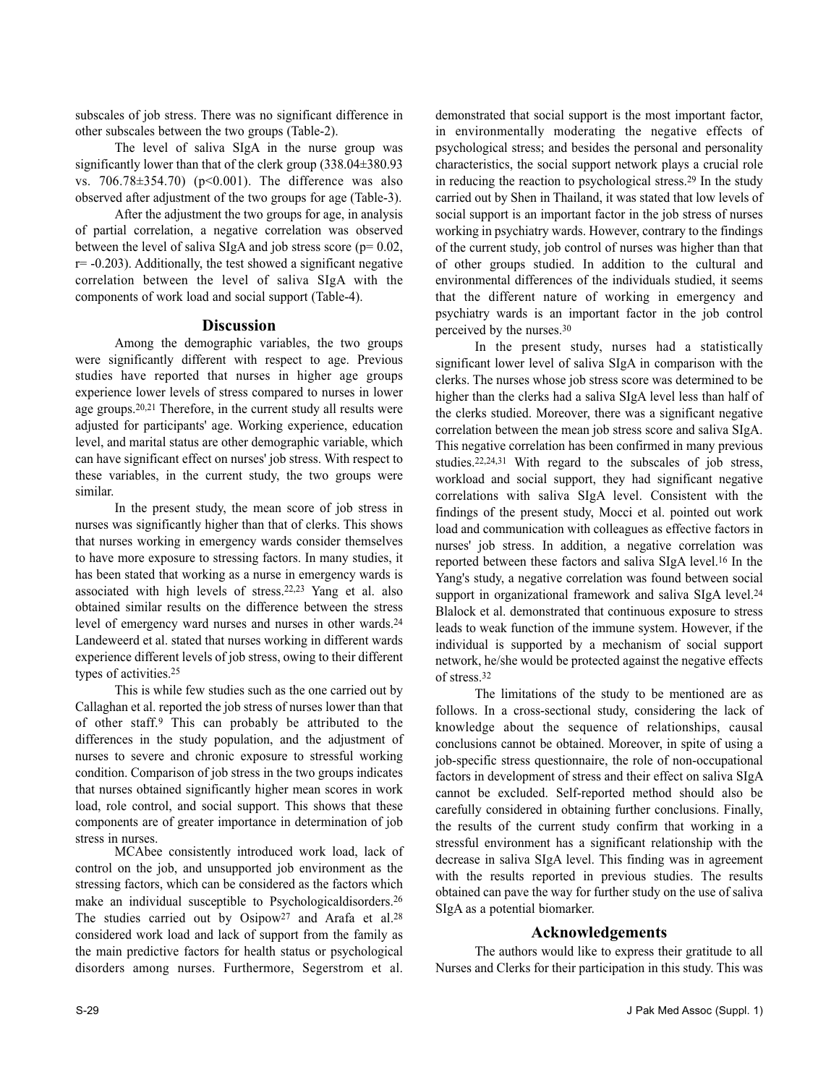subscales of job stress. There was no significant difference in other subscales between the two groups (Table-2).

The level of saliva SIgA in the nurse group was significantly lower than that of the clerk group (338.04±380.93 vs. 706.78±354.70) (p<0.001). The difference was also observed after adjustment of the two groups for age (Table-3).

After the adjustment the two groups for age, in analysis of partial correlation, a negative correlation was observed between the level of saliva SIgA and job stress score ( $p= 0.02$ ,  $r=-0.203$ ). Additionally, the test showed a significant negative correlation between the level of saliva SIgA with the components of work load and social support (Table-4).

### **Discussion**

Among the demographic variables, the two groups were significantly different with respect to age. Previous studies have reported that nurses in higher age groups experience lower levels of stress compared to nurses in lower age groups.20,21 Therefore, in the current study all results were adjusted for participants' age. Working experience, education level, and marital status are other demographic variable, which can have significant effect on nurses' job stress. With respect to these variables, in the current study, the two groups were similar.

In the present study, the mean score of job stress in nurses was significantly higher than that of clerks. This shows that nurses working in emergency wards consider themselves to have more exposure to stressing factors. In many studies, it has been stated that working as a nurse in emergency wards is associated with high levels of stress.22,23 Yang et al. also obtained similar results on the difference between the stress level of emergency ward nurses and nurses in other wards.<sup>24</sup> Landeweerd et al. stated that nurses working in different wards experience different levels of job stress, owing to their different types of activities.<sup>25</sup>

This is while few studies such as the one carried out by Callaghan et al. reported the job stress of nurses lower than that of other staff.<sup>9</sup> This can probably be attributed to the differences in the study population, and the adjustment of nurses to severe and chronic exposure to stressful working condition. Comparison of job stress in the two groups indicates that nurses obtained significantly higher mean scores in work load, role control, and social support. This shows that these components are of greater importance in determination of job stress in nurses.

MCAbee consistently introduced work load, lack of control on the job, and unsupported job environment as the stressing factors, which can be considered as the factors which make an individual susceptible to Psychologicaldisorders.<sup>26</sup> The studies carried out by Osipow<sup>27</sup> and Arafa et al.<sup>28</sup> considered work load and lack of support from the family as the main predictive factors for health status or psychological disorders among nurses. Furthermore, Segerstrom et al.

demonstrated that social support is the most important factor, in environmentally moderating the negative effects of psychological stress; and besides the personal and personality characteristics, the social support network plays a crucial role in reducing the reaction to psychological stress.<sup>29</sup> In the study carried out by Shen in Thailand, it was stated that low levels of social support is an important factor in the job stress of nurses working in psychiatry wards. However, contrary to the findings of the current study, job control of nurses was higher than that of other groups studied. In addition to the cultural and environmental differences of the individuals studied, it seems that the different nature of working in emergency and psychiatry wards is an important factor in the job control perceived by the nurses.<sup>30</sup>

In the present study, nurses had a statistically significant lower level of saliva SIgA in comparison with the clerks. The nurses whose job stress score was determined to be higher than the clerks had a saliva SIgA level less than half of the clerks studied. Moreover, there was a significant negative correlation between the mean job stress score and saliva SIgA. This negative correlation has been confirmed in many previous studies.22,24,31 With regard to the subscales of job stress, workload and social support, they had significant negative correlations with saliva SIgA level. Consistent with the findings of the present study, Mocci et al. pointed out work load and communication with colleagues as effective factors in nurses' job stress. In addition, a negative correlation was reported between these factors and saliva SIgA level.<sup>16</sup> In the Yang's study, a negative correlation was found between social support in organizational framework and saliva SIgA level.<sup>24</sup> Blalock et al. demonstrated that continuous exposure to stress leads to weak function of the immune system. However, if the individual is supported by a mechanism of social support network, he/she would be protected against the negative effects of stress.<sup>32</sup>

The limitations of the study to be mentioned are as follows. In a cross-sectional study, considering the lack of knowledge about the sequence of relationships, causal conclusions cannot be obtained. Moreover, in spite of using a job-specific stress questionnaire, the role of non-occupational factors in development of stress and their effect on saliva SIgA cannot be excluded. Self-reported method should also be carefully considered in obtaining further conclusions. Finally, the results of the current study confirm that working in a stressful environment has a significant relationship with the decrease in saliva SIgA level. This finding was in agreement with the results reported in previous studies. The results obtained can pave the way for further study on the use of saliva SIgA as a potential biomarker.

### **Acknowledgements**

The authors would like to express their gratitude to all Nurses and Clerks for their participation in this study. This was